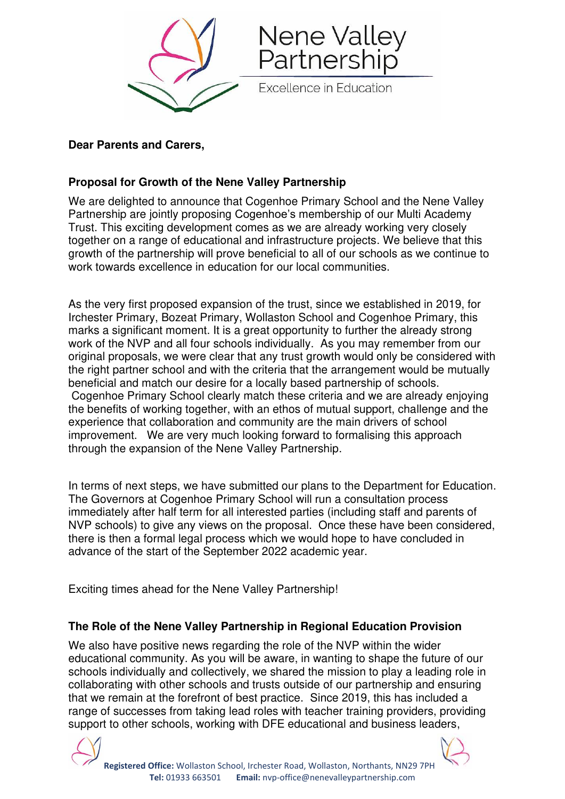

### **Dear Parents and Carers,**

### **Proposal for Growth of the Nene Valley Partnership**

We are delighted to announce that Cogenhoe Primary School and the Nene Valley Partnership are jointly proposing Cogenhoe's membership of our Multi Academy Trust. This exciting development comes as we are already working very closely together on a range of educational and infrastructure projects. We believe that this growth of the partnership will prove beneficial to all of our schools as we continue to work towards excellence in education for our local communities.

As the very first proposed expansion of the trust, since we established in 2019, for Irchester Primary, Bozeat Primary, Wollaston School and Cogenhoe Primary, this marks a significant moment. It is a great opportunity to further the already strong work of the NVP and all four schools individually. As you may remember from our original proposals, we were clear that any trust growth would only be considered with the right partner school and with the criteria that the arrangement would be mutually beneficial and match our desire for a locally based partnership of schools. Cogenhoe Primary School clearly match these criteria and we are already enjoying the benefits of working together, with an ethos of mutual support, challenge and the experience that collaboration and community are the main drivers of school improvement. We are very much looking forward to formalising this approach through the expansion of the Nene Valley Partnership.

In terms of next steps, we have submitted our plans to the Department for Education. The Governors at Cogenhoe Primary School will run a consultation process immediately after half term for all interested parties (including staff and parents of NVP schools) to give any views on the proposal. Once these have been considered, there is then a formal legal process which we would hope to have concluded in advance of the start of the September 2022 academic year.

Exciting times ahead for the Nene Valley Partnership!

# **The Role of the Nene Valley Partnership in Regional Education Provision**

We also have positive news regarding the role of the NVP within the wider educational community. As you will be aware, in wanting to shape the future of our schools individually and collectively, we shared the mission to play a leading role in collaborating with other schools and trusts outside of our partnership and ensuring that we remain at the forefront of best practice. Since 2019, this has included a range of successes from taking lead roles with teacher training providers, providing support to other schools, working with DFE educational and business leaders,

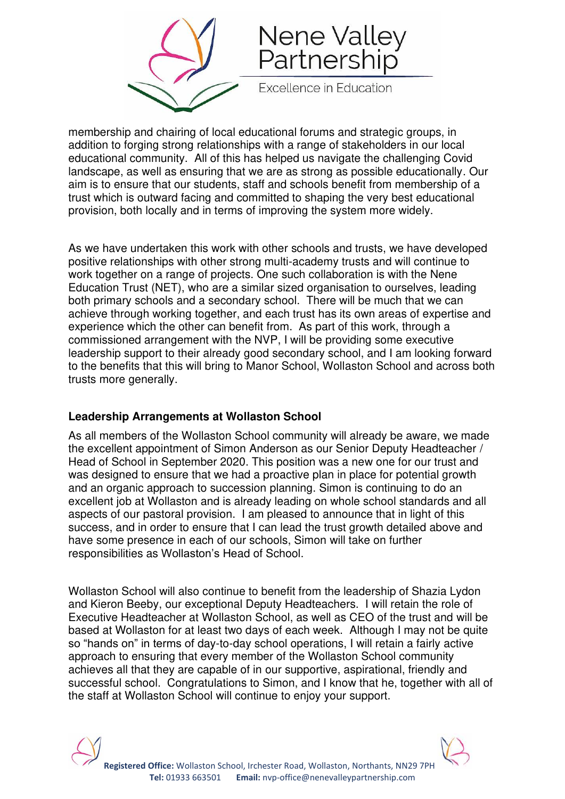



**Excellence in Education** 

membership and chairing of local educational forums and strategic groups, in addition to forging strong relationships with a range of stakeholders in our local educational community. All of this has helped us navigate the challenging Covid landscape, as well as ensuring that we are as strong as possible educationally. Our aim is to ensure that our students, staff and schools benefit from membership of a trust which is outward facing and committed to shaping the very best educational provision, both locally and in terms of improving the system more widely.

As we have undertaken this work with other schools and trusts, we have developed positive relationships with other strong multi-academy trusts and will continue to work together on a range of projects. One such collaboration is with the Nene Education Trust (NET), who are a similar sized organisation to ourselves, leading both primary schools and a secondary school. There will be much that we can achieve through working together, and each trust has its own areas of expertise and experience which the other can benefit from. As part of this work, through a commissioned arrangement with the NVP, I will be providing some executive leadership support to their already good secondary school, and I am looking forward to the benefits that this will bring to Manor School, Wollaston School and across both trusts more generally.

#### **Leadership Arrangements at Wollaston School**

As all members of the Wollaston School community will already be aware, we made the excellent appointment of Simon Anderson as our Senior Deputy Headteacher / Head of School in September 2020. This position was a new one for our trust and was designed to ensure that we had a proactive plan in place for potential growth and an organic approach to succession planning. Simon is continuing to do an excellent job at Wollaston and is already leading on whole school standards and all aspects of our pastoral provision. I am pleased to announce that in light of this success, and in order to ensure that I can lead the trust growth detailed above and have some presence in each of our schools, Simon will take on further responsibilities as Wollaston's Head of School.

Wollaston School will also continue to benefit from the leadership of Shazia Lydon and Kieron Beeby, our exceptional Deputy Headteachers. I will retain the role of Executive Headteacher at Wollaston School, as well as CEO of the trust and will be based at Wollaston for at least two days of each week. Although I may not be quite so "hands on" in terms of day-to-day school operations, I will retain a fairly active approach to ensuring that every member of the Wollaston School community achieves all that they are capable of in our supportive, aspirational, friendly and successful school. Congratulations to Simon, and I know that he, together with all of the staff at Wollaston School will continue to enjoy your support.

**Registered Office:** Wollaston School, Irchester Road, Wollaston, Northants, NN29 7PH  **Tel:** 01933 663501 **Email:** nvp-office@nenevalleypartnership.com